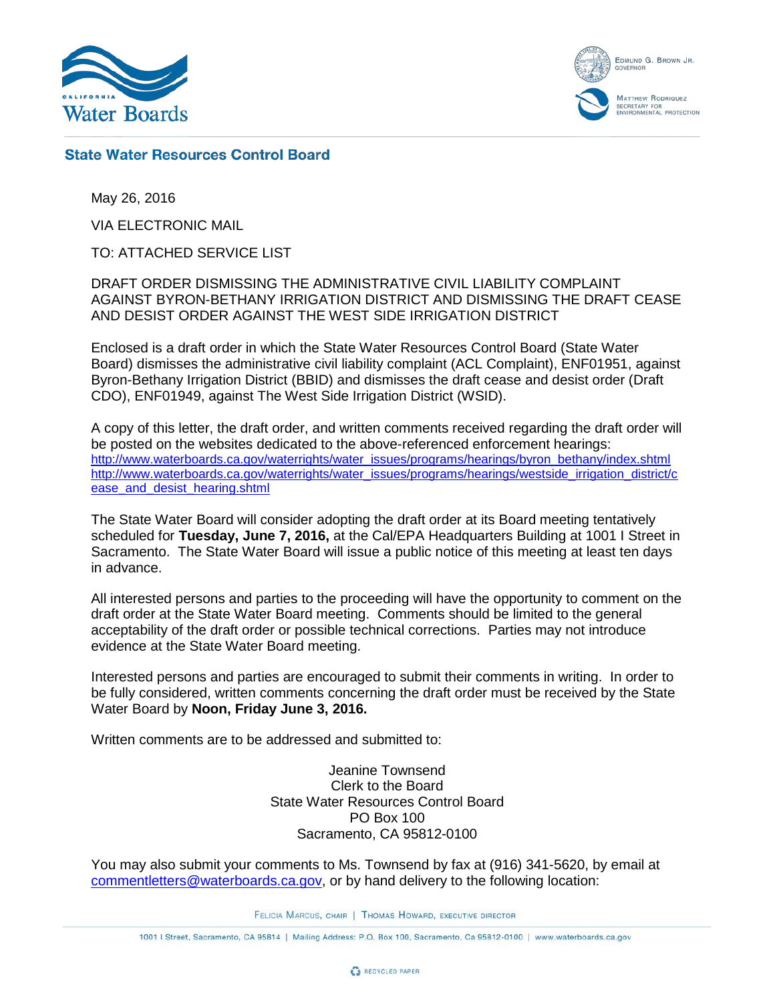

EDMUND G. BROWN JR. **OVERNO MATTHEW RODRIQUEZ** ECRETARY FOR<br>NVIRONMENTAL PROTECTION

## **State Water Resources Control Board**

May 26, 2016

VIA ELECTRONIC MAIL

TO: ATTACHED SERVICE LIST

DRAFT ORDER DISMISSING THE ADMINISTRATIVE CIVIL LIABILITY COMPLAINT AGAINST BYRON-BETHANY IRRIGATION DISTRICT AND DISMISSING THE DRAFT CEASE AND DESIST ORDER AGAINST THE WEST SIDE IRRIGATION DISTRICT

Enclosed is a draft order in which the State Water Resources Control Board (State Water Board) dismisses the administrative civil liability complaint (ACL Complaint), ENF01951, against Byron-Bethany Irrigation District (BBID) and dismisses the draft cease and desist order (Draft CDO), ENF01949, against The West Side Irrigation District (WSID).

A copy of this letter, the draft order, and written comments received regarding the draft order will be posted on the websites dedicated to the above-referenced enforcement hearings: [http://www.waterboards.ca.gov/waterrights/water\\_issues/programs/hearings/byron\\_bethany/index.shtml](http://www.waterboards.ca.gov/waterrights/water_issues/programs/hearings/byron_bethany/index.shtml) [http://www.waterboards.ca.gov/waterrights/water\\_issues/programs/hearings/westside\\_irrigation\\_district/c](http://www.waterboards.ca.gov/waterrights/water_issues/programs/hearings/westside_irrigation_district/cease_and_desist_hearing.shtml) [ease\\_and\\_desist\\_hearing.shtml](http://www.waterboards.ca.gov/waterrights/water_issues/programs/hearings/westside_irrigation_district/cease_and_desist_hearing.shtml)

The State Water Board will consider adopting the draft order at its Board meeting tentatively scheduled for **Tuesday, June 7, 2016,** at the Cal/EPA Headquarters Building at 1001 I Street in Sacramento. The State Water Board will issue a public notice of this meeting at least ten days in advance.

All interested persons and parties to the proceeding will have the opportunity to comment on the draft order at the State Water Board meeting. Comments should be limited to the general acceptability of the draft order or possible technical corrections. Parties may not introduce evidence at the State Water Board meeting.

Interested persons and parties are encouraged to submit their comments in writing. In order to be fully considered, written comments concerning the draft order must be received by the State Water Board by **Noon, Friday June 3, 2016.**

Written comments are to be addressed and submitted to:

Jeanine Townsend Clerk to the Board State Water Resources Control Board PO Box 100 Sacramento, CA 95812-0100

You may also submit your comments to Ms. Townsend by fax at (916) 341-5620, by email at [commentletters@waterboards.ca.gov,](mailto:commentletters@waterboards.ca.gov) or by hand delivery to the following location:

FELICIA MARCUS, CHAIR | THOMAS HOWARD, EXECUTIVE DIRECTOR

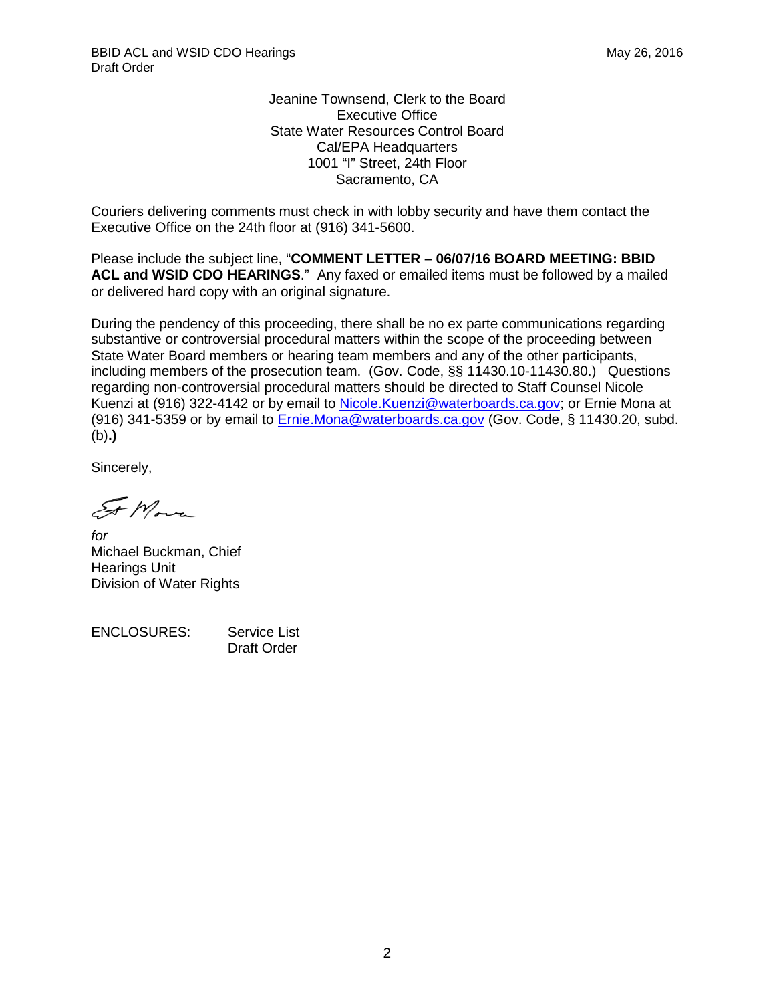Jeanine Townsend, Clerk to the Board Executive Office State Water Resources Control Board Cal/EPA Headquarters 1001 "I" Street, 24th Floor Sacramento, CA

Couriers delivering comments must check in with lobby security and have them contact the Executive Office on the 24th floor at (916) 341-5600.

Please include the subject line, "**COMMENT LETTER – 06/07/16 BOARD MEETING: BBID ACL and WSID CDO HEARINGS**." Any faxed or emailed items must be followed by a mailed or delivered hard copy with an original signature.

During the pendency of this proceeding, there shall be no ex parte communications regarding substantive or controversial procedural matters within the scope of the proceeding between State Water Board members or hearing team members and any of the other participants, including members of the prosecution team. (Gov. Code, §§ 11430.10-11430.80.) Questions regarding non-controversial procedural matters should be directed to Staff Counsel Nicole Kuenzi at (916) 322-4142 or by email to Nicole. Kuenzi@waterboards.ca.gov; or Ernie Mona at (916) 341-5359 or by email to [Ernie.Mona@waterboards.ca.gov](mailto:Ernie.Mona@waterboards.ca.gov) (Gov. Code, § 11430.20, subd. (b)**.)**

Sincerely,

 $\mathcal{F}_{\pi}$ More

*for* Michael Buckman, Chief Hearings Unit Division of Water Rights

ENCLOSURES: Service List Draft Order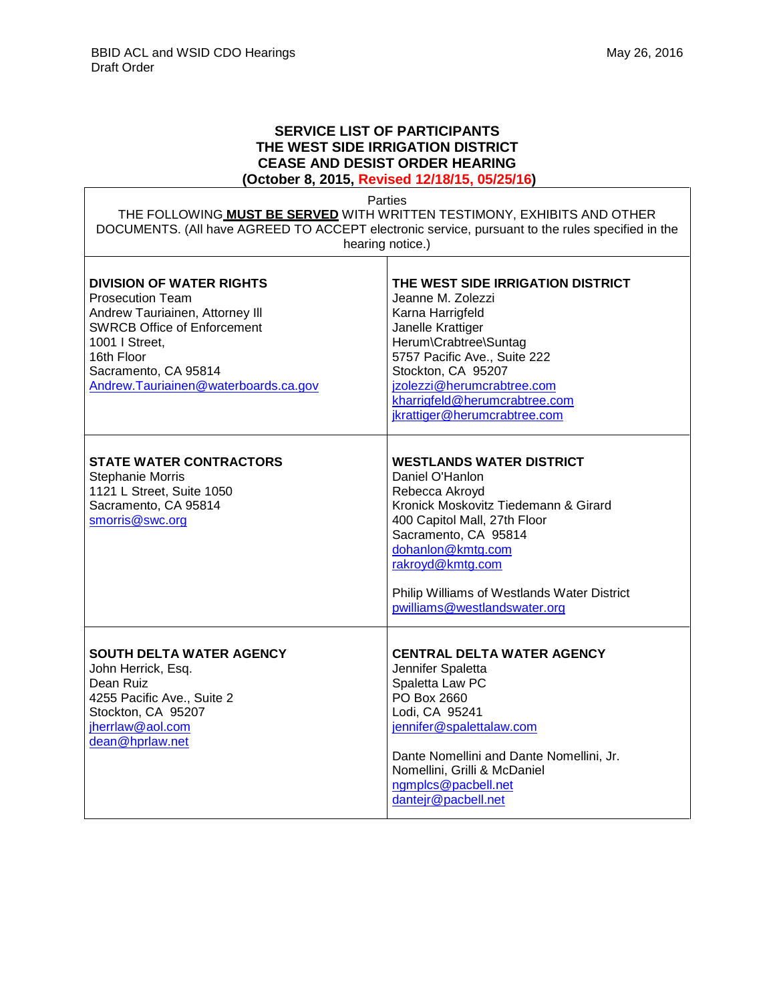## **SERVICE LIST OF PARTICIPANTS THE WEST SIDE IRRIGATION DISTRICT CEASE AND DESIST ORDER HEARING (October 8, 2015, Revised 12/18/15, 05/25/16)**

Parties

| THE FOLLOWING MUST BE SERVED WITH WRITTEN TESTIMONY, EXHIBITS AND OTHER                          |
|--------------------------------------------------------------------------------------------------|
| DOCUMENTS. (All have AGREED TO ACCEPT electronic service, pursuant to the rules specified in the |
| hearing notice.)                                                                                 |

| <b>DIVISION OF WATER RIGHTS</b><br><b>Prosecution Team</b><br>Andrew Tauriainen, Attorney III<br><b>SWRCB Office of Enforcement</b><br>1001   Street,<br>16th Floor<br>Sacramento, CA 95814<br>Andrew.Tauriainen@waterboards.ca.gov | THE WEST SIDE IRRIGATION DISTRICT<br>Jeanne M. Zolezzi<br>Karna Harrigfeld<br>Janelle Krattiger<br>Herum\Crabtree\Suntag<br>5757 Pacific Ave., Suite 222<br>Stockton, CA 95207<br>jzolezzi@herumcrabtree.com<br>kharrigfeld@herumcrabtree.com<br>jkrattiger@herumcrabtree.com                |
|-------------------------------------------------------------------------------------------------------------------------------------------------------------------------------------------------------------------------------------|----------------------------------------------------------------------------------------------------------------------------------------------------------------------------------------------------------------------------------------------------------------------------------------------|
| <b>STATE WATER CONTRACTORS</b><br>Stephanie Morris<br>1121 L Street, Suite 1050<br>Sacramento, CA 95814<br>smorris@swc.org                                                                                                          | <b>WESTLANDS WATER DISTRICT</b><br>Daniel O'Hanlon<br>Rebecca Akroyd<br>Kronick Moskovitz Tiedemann & Girard<br>400 Capitol Mall, 27th Floor<br>Sacramento, CA 95814<br>dohanlon@kmtg.com<br>rakroyd@kmtg.com<br>Philip Williams of Westlands Water District<br>pwilliams@westlandswater.org |
| <b>SOUTH DELTA WATER AGENCY</b><br>John Herrick, Esq.<br>Dean Ruiz<br>4255 Pacific Ave., Suite 2<br>Stockton, CA 95207<br>jherrlaw@aol.com<br>dean@hprlaw.net                                                                       | <b>CENTRAL DELTA WATER AGENCY</b><br>Jennifer Spaletta<br>Spaletta Law PC<br>PO Box 2660<br>Lodi, CA 95241<br>jennifer@spalettalaw.com<br>Dante Nomellini and Dante Nomellini, Jr.<br>Nomellini, Grilli & McDaniel<br>ngmplcs@pacbell.net<br>dantejr@pacbell.net                             |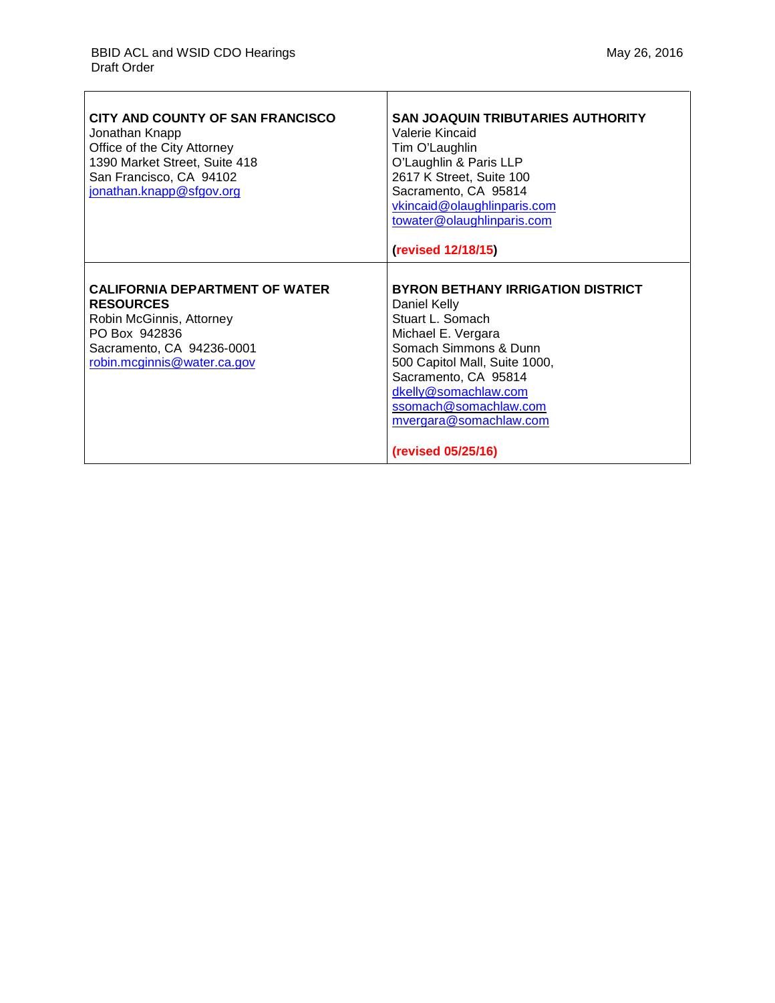| CITY AND COUNTY OF SAN FRANCISCO<br>Jonathan Knapp<br>Office of the City Attorney<br>1390 Market Street, Suite 418<br>San Francisco, CA 94102<br>jonathan.knapp@sfgov.org | <b>SAN JOAQUIN TRIBUTARIES AUTHORITY</b><br>Valerie Kincaid<br>Tim O'Laughlin<br>O'Laughlin & Paris LLP<br>2617 K Street, Suite 100<br>Sacramento, CA 95814<br>vkincaid@olaughlinparis.com<br>towater@olaughlinparis.com<br>(revised 12/18/15)                                        |
|---------------------------------------------------------------------------------------------------------------------------------------------------------------------------|---------------------------------------------------------------------------------------------------------------------------------------------------------------------------------------------------------------------------------------------------------------------------------------|
| <b>CALIFORNIA DEPARTMENT OF WATER</b><br><b>RESOURCES</b><br>Robin McGinnis, Attorney<br>PO Box 942836<br>Sacramento, CA 94236-0001<br>robin.mcginnis@water.ca.gov        | <b>BYRON BETHANY IRRIGATION DISTRICT</b><br>Daniel Kelly<br>Stuart L. Somach<br>Michael E. Vergara<br>Somach Simmons & Dunn<br>500 Capitol Mall, Suite 1000,<br>Sacramento, CA 95814<br>dkelly@somachlaw.com<br>ssomach@somachlaw.com<br>mvergara@somachlaw.com<br>(revised 05/25/16) |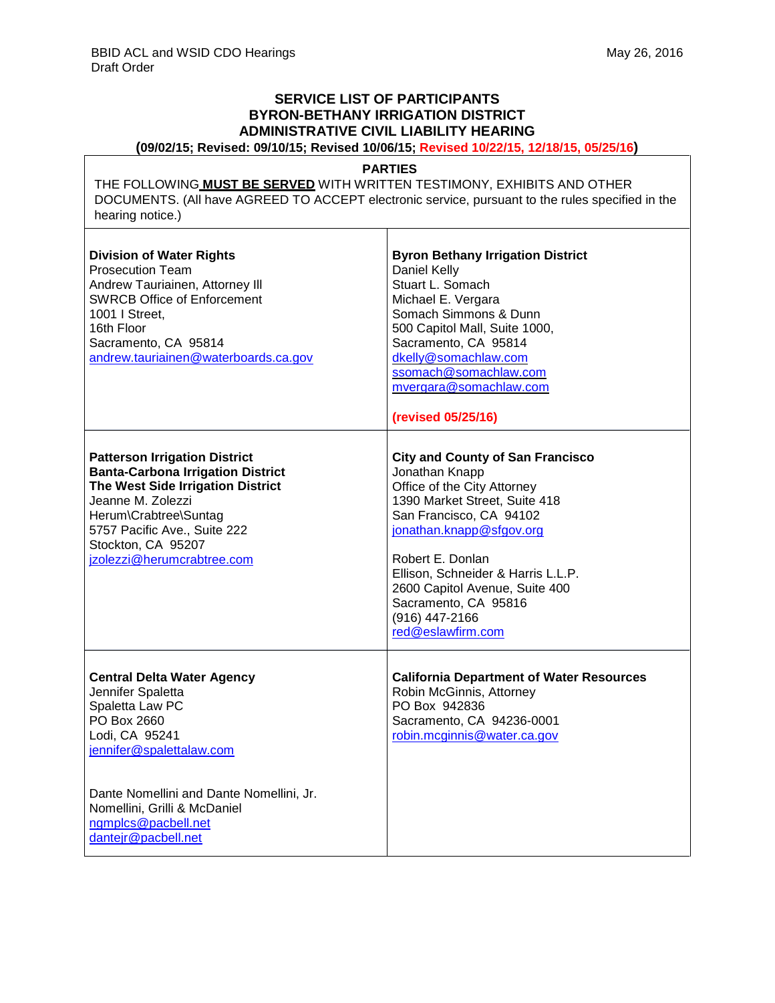## **SERVICE LIST OF PARTICIPANTS BYRON-BETHANY IRRIGATION DISTRICT ADMINISTRATIVE CIVIL LIABILITY HEARING**

**(09/02/15; Revised: 09/10/15; Revised 10/06/15; Revised 10/22/15, 12/18/15, 05/25/16)**

## **PARTIES**

THE FOLLOWING **MUST BE SERVED** WITH WRITTEN TESTIMONY, EXHIBITS AND OTHER DOCUMENTS. (All have AGREED TO ACCEPT electronic service, pursuant to the rules specified in the hearing notice.)

 $\top$ 

| <b>Division of Water Rights</b><br><b>Prosecution Team</b><br>Andrew Tauriainen, Attorney III<br><b>SWRCB Office of Enforcement</b><br>1001   Street.<br>16th Floor<br>Sacramento, CA 95814<br>andrew.tauriainen@waterboards.ca.gov                              | <b>Byron Bethany Irrigation District</b><br>Daniel Kelly<br>Stuart L. Somach<br>Michael E. Vergara<br>Somach Simmons & Dunn<br>500 Capitol Mall, Suite 1000,<br>Sacramento, CA 95814<br>dkelly@somachlaw.com<br>ssomach@somachlaw.com<br>mvergara@somachlaw.com<br>(revised 05/25/16)                                                       |
|------------------------------------------------------------------------------------------------------------------------------------------------------------------------------------------------------------------------------------------------------------------|---------------------------------------------------------------------------------------------------------------------------------------------------------------------------------------------------------------------------------------------------------------------------------------------------------------------------------------------|
| <b>Patterson Irrigation District</b><br><b>Banta-Carbona Irrigation District</b><br>The West Side Irrigation District<br>Jeanne M. Zolezzi<br>Herum\Crabtree\Suntag<br>5757 Pacific Ave., Suite 222<br>Stockton, CA 95207<br>jzolezzi@herumcrabtree.com          | <b>City and County of San Francisco</b><br>Jonathan Knapp<br>Office of the City Attorney<br>1390 Market Street, Suite 418<br>San Francisco, CA 94102<br>jonathan.knapp@sfgov.org<br>Robert E. Donlan<br>Ellison, Schneider & Harris L.L.P.<br>2600 Capitol Avenue, Suite 400<br>Sacramento, CA 95816<br>(916) 447-2166<br>red@eslawfirm.com |
| <b>Central Delta Water Agency</b><br>Jennifer Spaletta<br>Spaletta Law PC<br>PO Box 2660<br>Lodi, CA 95241<br>jennifer@spalettalaw.com<br>Dante Nomellini and Dante Nomellini, Jr.<br>Nomellini, Grilli & McDaniel<br>ngmplcs@pacbell.net<br>dantejr@pacbell.net | <b>California Department of Water Resources</b><br>Robin McGinnis, Attorney<br>PO Box 942836<br>Sacramento, CA 94236-0001<br>robin.mcginnis@water.ca.gov                                                                                                                                                                                    |